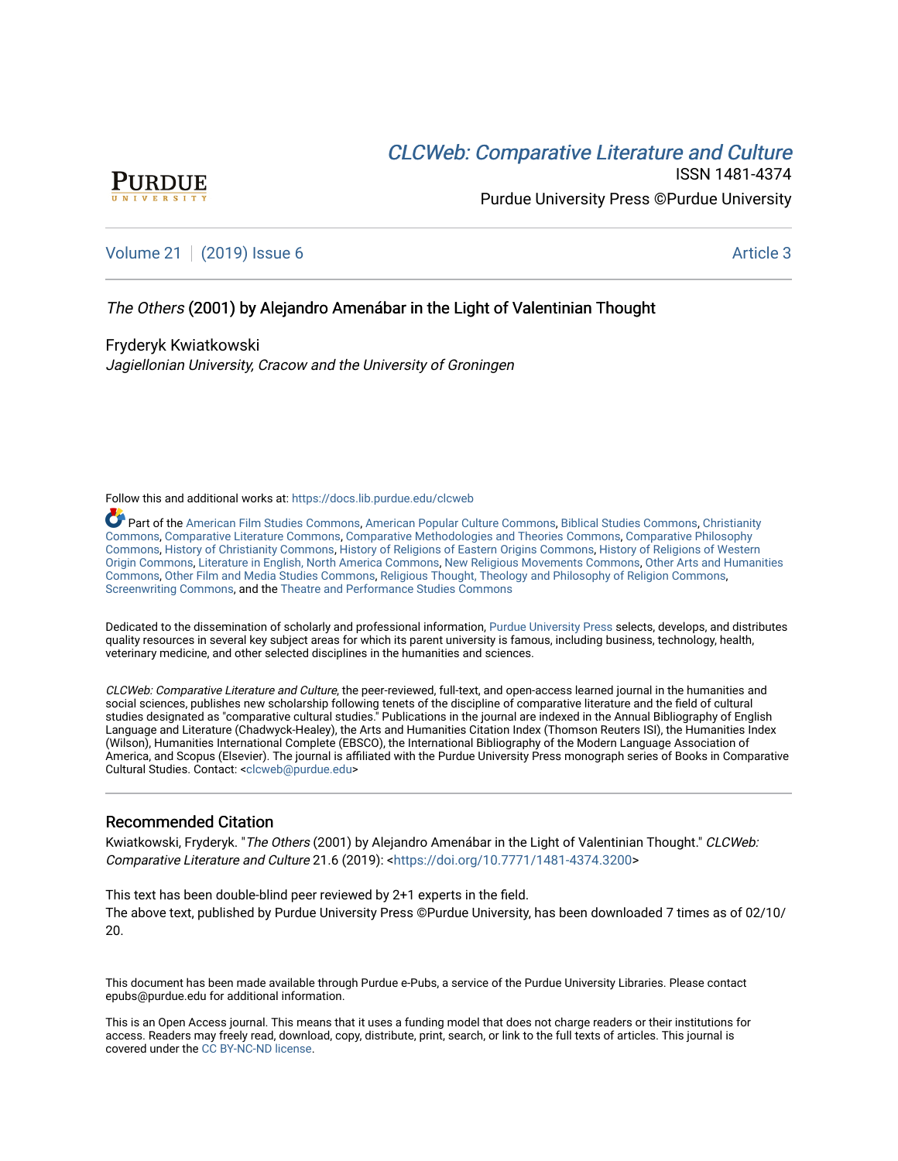# CLCW[eb: Comparative Liter](https://docs.lib.purdue.edu/clcweb)ature and Culture



ISSN 1481-4374 Purdue University Press ©Purdue University

[Volume 21](https://docs.lib.purdue.edu/clcweb/vol21) | [\(2019\) Issue 6](https://docs.lib.purdue.edu/clcweb/vol21/iss6) Article 3

# The Others (2001) by Alejandro Amenábar in the Light of Valentinian Thought

Fryderyk Kwiatkowski Jagiellonian University, Cracow and the University of Groningen

Follow this and additional works at: [https://docs.lib.purdue.edu/clcweb](https://docs.lib.purdue.edu/clcweb?utm_source=docs.lib.purdue.edu%2Fclcweb%2Fvol21%2Fiss6%2F3&utm_medium=PDF&utm_campaign=PDFCoverPages)

Part of the [American Film Studies Commons,](http://network.bepress.com/hgg/discipline/440?utm_source=docs.lib.purdue.edu%2Fclcweb%2Fvol21%2Fiss6%2F3&utm_medium=PDF&utm_campaign=PDFCoverPages) [American Popular Culture Commons](http://network.bepress.com/hgg/discipline/443?utm_source=docs.lib.purdue.edu%2Fclcweb%2Fvol21%2Fiss6%2F3&utm_medium=PDF&utm_campaign=PDFCoverPages), [Biblical Studies Commons,](http://network.bepress.com/hgg/discipline/539?utm_source=docs.lib.purdue.edu%2Fclcweb%2Fvol21%2Fiss6%2F3&utm_medium=PDF&utm_campaign=PDFCoverPages) [Christianity](http://network.bepress.com/hgg/discipline/1181?utm_source=docs.lib.purdue.edu%2Fclcweb%2Fvol21%2Fiss6%2F3&utm_medium=PDF&utm_campaign=PDFCoverPages) [Commons,](http://network.bepress.com/hgg/discipline/1181?utm_source=docs.lib.purdue.edu%2Fclcweb%2Fvol21%2Fiss6%2F3&utm_medium=PDF&utm_campaign=PDFCoverPages) [Comparative Literature Commons](http://network.bepress.com/hgg/discipline/454?utm_source=docs.lib.purdue.edu%2Fclcweb%2Fvol21%2Fiss6%2F3&utm_medium=PDF&utm_campaign=PDFCoverPages), [Comparative Methodologies and Theories Commons](http://network.bepress.com/hgg/discipline/540?utm_source=docs.lib.purdue.edu%2Fclcweb%2Fvol21%2Fiss6%2F3&utm_medium=PDF&utm_campaign=PDFCoverPages), [Comparative Philosophy](http://network.bepress.com/hgg/discipline/1343?utm_source=docs.lib.purdue.edu%2Fclcweb%2Fvol21%2Fiss6%2F3&utm_medium=PDF&utm_campaign=PDFCoverPages) [Commons,](http://network.bepress.com/hgg/discipline/1343?utm_source=docs.lib.purdue.edu%2Fclcweb%2Fvol21%2Fiss6%2F3&utm_medium=PDF&utm_campaign=PDFCoverPages) [History of Christianity Commons](http://network.bepress.com/hgg/discipline/1182?utm_source=docs.lib.purdue.edu%2Fclcweb%2Fvol21%2Fiss6%2F3&utm_medium=PDF&utm_campaign=PDFCoverPages), [History of Religions of Eastern Origins Commons](http://network.bepress.com/hgg/discipline/543?utm_source=docs.lib.purdue.edu%2Fclcweb%2Fvol21%2Fiss6%2F3&utm_medium=PDF&utm_campaign=PDFCoverPages), [History of Religions of Western](http://network.bepress.com/hgg/discipline/542?utm_source=docs.lib.purdue.edu%2Fclcweb%2Fvol21%2Fiss6%2F3&utm_medium=PDF&utm_campaign=PDFCoverPages)  [Origin Commons,](http://network.bepress.com/hgg/discipline/542?utm_source=docs.lib.purdue.edu%2Fclcweb%2Fvol21%2Fiss6%2F3&utm_medium=PDF&utm_campaign=PDFCoverPages) [Literature in English, North America Commons,](http://network.bepress.com/hgg/discipline/458?utm_source=docs.lib.purdue.edu%2Fclcweb%2Fvol21%2Fiss6%2F3&utm_medium=PDF&utm_campaign=PDFCoverPages) [New Religious Movements Commons,](http://network.bepress.com/hgg/discipline/1189?utm_source=docs.lib.purdue.edu%2Fclcweb%2Fvol21%2Fiss6%2F3&utm_medium=PDF&utm_campaign=PDFCoverPages) [Other Arts and Humanities](http://network.bepress.com/hgg/discipline/577?utm_source=docs.lib.purdue.edu%2Fclcweb%2Fvol21%2Fiss6%2F3&utm_medium=PDF&utm_campaign=PDFCoverPages) [Commons,](http://network.bepress.com/hgg/discipline/577?utm_source=docs.lib.purdue.edu%2Fclcweb%2Fvol21%2Fiss6%2F3&utm_medium=PDF&utm_campaign=PDFCoverPages) [Other Film and Media Studies Commons,](http://network.bepress.com/hgg/discipline/565?utm_source=docs.lib.purdue.edu%2Fclcweb%2Fvol21%2Fiss6%2F3&utm_medium=PDF&utm_campaign=PDFCoverPages) [Religious Thought, Theology and Philosophy of Religion Commons](http://network.bepress.com/hgg/discipline/544?utm_source=docs.lib.purdue.edu%2Fclcweb%2Fvol21%2Fiss6%2F3&utm_medium=PDF&utm_campaign=PDFCoverPages), [Screenwriting Commons](http://network.bepress.com/hgg/discipline/1291?utm_source=docs.lib.purdue.edu%2Fclcweb%2Fvol21%2Fiss6%2F3&utm_medium=PDF&utm_campaign=PDFCoverPages), and the [Theatre and Performance Studies Commons](http://network.bepress.com/hgg/discipline/552?utm_source=docs.lib.purdue.edu%2Fclcweb%2Fvol21%2Fiss6%2F3&utm_medium=PDF&utm_campaign=PDFCoverPages) 

Dedicated to the dissemination of scholarly and professional information, [Purdue University Press](http://www.thepress.purdue.edu/) selects, develops, and distributes quality resources in several key subject areas for which its parent university is famous, including business, technology, health, veterinary medicine, and other selected disciplines in the humanities and sciences.

CLCWeb: Comparative Literature and Culture, the peer-reviewed, full-text, and open-access learned journal in the humanities and social sciences, publishes new scholarship following tenets of the discipline of comparative literature and the field of cultural studies designated as "comparative cultural studies." Publications in the journal are indexed in the Annual Bibliography of English Language and Literature (Chadwyck-Healey), the Arts and Humanities Citation Index (Thomson Reuters ISI), the Humanities Index (Wilson), Humanities International Complete (EBSCO), the International Bibliography of the Modern Language Association of America, and Scopus (Elsevier). The journal is affiliated with the Purdue University Press monograph series of Books in Comparative Cultural Studies. Contact: [<clcweb@purdue.edu](mailto:clcweb@purdue.edu)>

## Recommended Citation

Kwiatkowski, Fryderyk. "The Others (2001) by Alejandro Amenábar in the Light of Valentinian Thought." CLCWeb: Comparative Literature and Culture 21.6 (2019): <<https://doi.org/10.7771/1481-4374.3200>>

This text has been double-blind peer reviewed by 2+1 experts in the field. The above text, published by Purdue University Press ©Purdue University, has been downloaded 7 times as of 02/10/ 20.

This document has been made available through Purdue e-Pubs, a service of the Purdue University Libraries. Please contact epubs@purdue.edu for additional information.

This is an Open Access journal. This means that it uses a funding model that does not charge readers or their institutions for access. Readers may freely read, download, copy, distribute, print, search, or link to the full texts of articles. This journal is covered under the [CC BY-NC-ND license.](https://creativecommons.org/licenses/by-nc-nd/4.0/)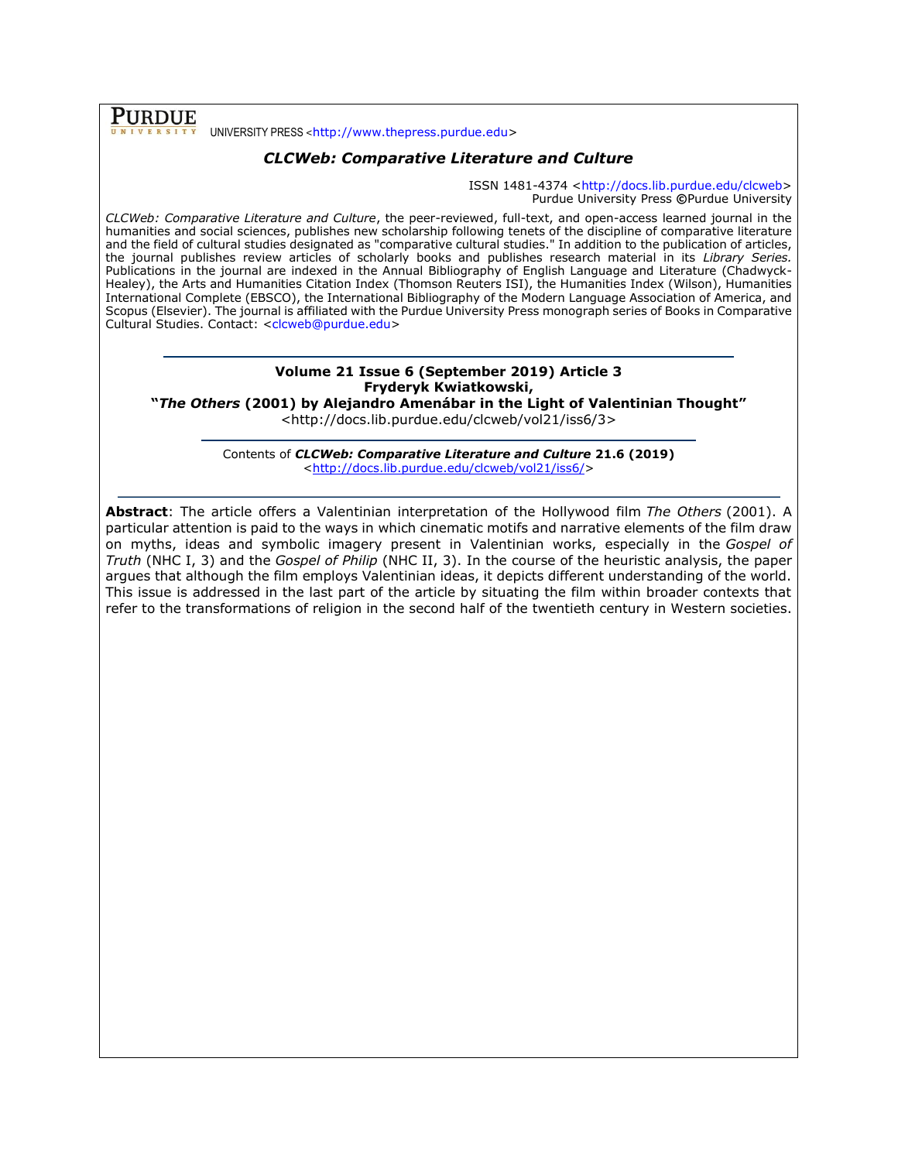**PURDUE** UNIVERSITY PRESS <[http://www.thepress.purdue.edu>](http://www.thepress.purdue.edu/)

# *CLCWeb: Comparative Literature and Culture*

ISSN 1481-4374 [<http://docs.lib.purdue.edu/clcweb>](http://docs.lib.purdue.edu/clcweb) Purdue University Press **©**Purdue University

*CLCWeb: Comparative Literature and Culture*, the peer-reviewed, full-text, and open-access learned journal in the humanities and social sciences, publishes new scholarship following tenets of the discipline of comparative literature and the field of cultural studies designated as "comparative cultural studies." In addition to the publication of articles, the journal publishes review articles of scholarly books and publishes research material in its *Library Series.*  Publications in the journal are indexed in the Annual Bibliography of English Language and Literature (Chadwyck-Healey), the Arts and Humanities Citation Index (Thomson Reuters ISI), the Humanities Index (Wilson), Humanities International Complete (EBSCO), the International Bibliography of the Modern Language Association of America, and Scopus (Elsevier). The journal is affiliated with the Purdue University Press monograph series of Books in Comparative Cultural Studies. Contact: [<clcweb@purdue.edu>](mailto:clcweb@purdue.edu)

# **Volume 21 Issue 6 (September 2019) Article 3 Fryderyk Kwiatkowski,**

**"***The Others* **(2001) by Alejandro Amenábar in the Light of Valentinian Thought"**

<http://docs.lib.purdue.edu/clcweb/vol21/iss6/3>

Contents of *CLCWeb: Comparative Literature and Culture* **21.6 (2019)** [<http://docs.lib.purdue.edu/clcweb/vol21/iss6/>](http://docs.lib.purdue.edu/clcweb/vol21/iss6/)

**Abstract**: The article offers a Valentinian interpretation of the Hollywood film *The Others* (2001). A particular attention is paid to the ways in which cinematic motifs and narrative elements of the film draw on myths, ideas and symbolic imagery present in Valentinian works, especially in the *Gospel of Truth* (NHC I, 3) and the *Gospel of Philip* (NHC II, 3). In the course of the heuristic analysis, the paper argues that although the film employs Valentinian ideas, it depicts different understanding of the world. This issue is addressed in the last part of the article by situating the film within broader contexts that refer to the transformations of religion in the second half of the twentieth century in Western societies.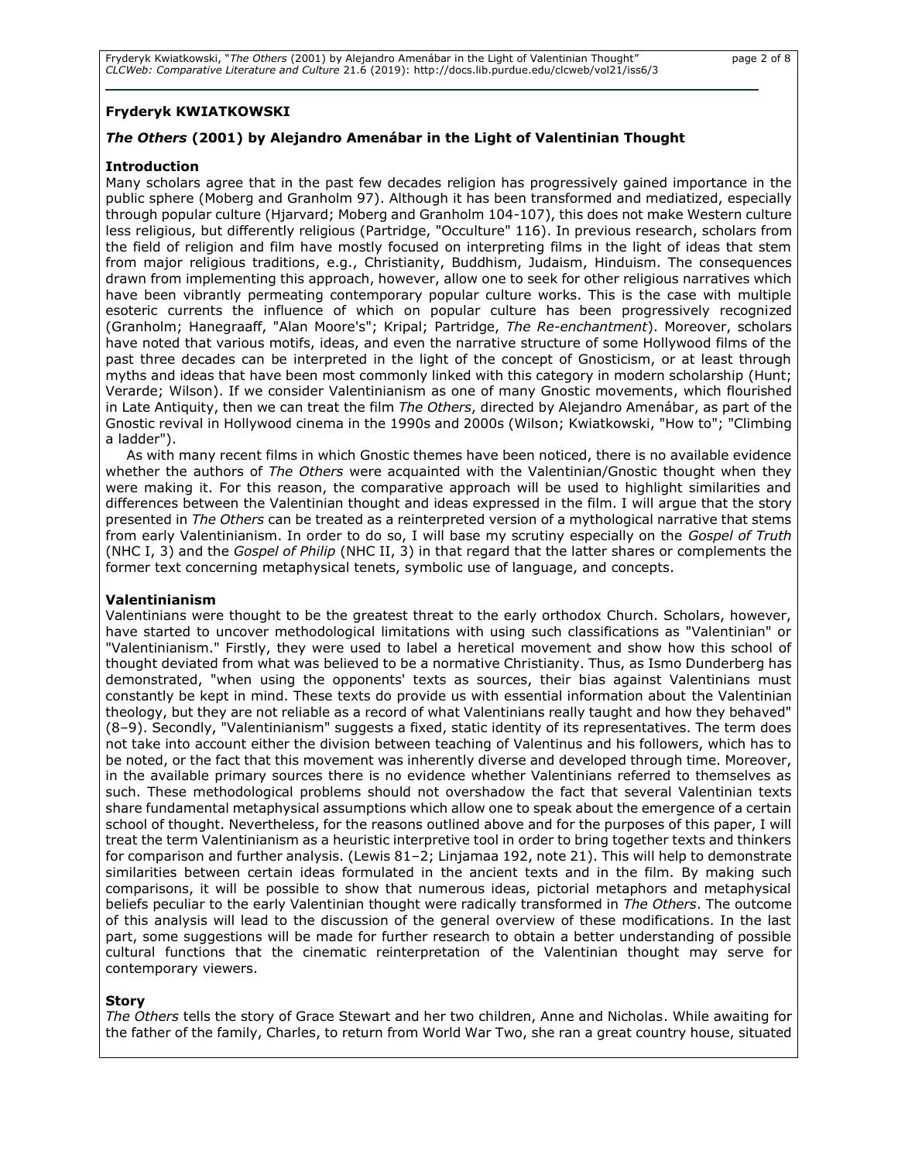# **Fryderyk KWIATKOWSKI**

# *The Others* **(2001) by Alejandro Amenábar in the Light of Valentinian Thought**

## **Introduction**

Many scholars agree that in the past few decades religion has progressively gained importance in the public sphere (Moberg and Granholm 97). Although it has been transformed and mediatized, especially through popular culture (Hjarvard; Moberg and Granholm 104-107), this does not make Western culture less religious, but differently religious (Partridge, "Occulture" 116). In previous research, scholars from the field of religion and film have mostly focused on interpreting films in the light of ideas that stem from major religious traditions, e.g., Christianity, Buddhism, Judaism, Hinduism. The consequences drawn from implementing this approach, however, allow one to seek for other religious narratives which have been vibrantly permeating contemporary popular culture works. This is the case with multiple esoteric currents the influence of which on popular culture has been progressively recognized (Granholm; Hanegraaff, "Alan Moore's"; Kripal; Partridge, *The Re-enchantment*). Moreover, scholars have noted that various motifs, ideas, and even the narrative structure of some Hollywood films of the past three decades can be interpreted in the light of the concept of Gnosticism, or at least through myths and ideas that have been most commonly linked with this category in modern scholarship (Hunt; Verarde; Wilson). If we consider Valentinianism as one of many Gnostic movements, which flourished in Late Antiquity, then we can treat the film *The Others*, directed by Alejandro Amenábar, as part of the Gnostic revival in Hollywood cinema in the 1990s and 2000s (Wilson; Kwiatkowski, "How to"; "Climbing a ladder").

As with many recent films in which Gnostic themes have been noticed, there is no available evidence whether the authors of *The Others* were acquainted with the Valentinian/Gnostic thought when they were making it. For this reason, the comparative approach will be used to highlight similarities and differences between the Valentinian thought and ideas expressed in the film. I will argue that the story presented in *The Others* can be treated as a reinterpreted version of a mythological narrative that stems from early Valentinianism. In order to do so, I will base my scrutiny especially on the *Gospel of Truth*  (NHC I, 3) and the *Gospel of Philip* (NHC II, 3) in that regard that the latter shares or complements the former text concerning metaphysical tenets, symbolic use of language, and concepts.

## **Valentinianism**

Valentinians were thought to be the greatest threat to the early orthodox Church. Scholars, however, have started to uncover methodological limitations with using such classifications as "Valentinian" or "Valentinianism." Firstly, they were used to label a heretical movement and show how this school of thought deviated from what was believed to be a normative Christianity. Thus, as Ismo Dunderberg has demonstrated, "when using the opponents' texts as sources, their bias against Valentinians must constantly be kept in mind. These texts do provide us with essential information about the Valentinian theology, but they are not reliable as a record of what Valentinians really taught and how they behaved" (8–9). Secondly, "Valentinianism" suggests a fixed, static identity of its representatives. The term does not take into account either the division between teaching of Valentinus and his followers, which has to be noted, or the fact that this movement was inherently diverse and developed through time. Moreover, in the available primary sources there is no evidence whether Valentinians referred to themselves as such. These methodological problems should not overshadow the fact that several Valentinian texts share fundamental metaphysical assumptions which allow one to speak about the emergence of a certain school of thought. Nevertheless, for the reasons outlined above and for the purposes of this paper, I will treat the term Valentinianism as a heuristic interpretive tool in order to bring together texts and thinkers for comparison and further analysis. (Lewis 81–2; Linjamaa 192, note 21). This will help to demonstrate similarities between certain ideas formulated in the ancient texts and in the film. By making such comparisons, it will be possible to show that numerous ideas, pictorial metaphors and metaphysical beliefs peculiar to the early Valentinian thought were radically transformed in *The Others*. The outcome of this analysis will lead to the discussion of the general overview of these modifications. In the last part, some suggestions will be made for further research to obtain a better understanding of possible cultural functions that the cinematic reinterpretation of the Valentinian thought may serve for contemporary viewers.

## **Story**

*The Others* tells the story of Grace Stewart and her two children, Anne and Nicholas. While awaiting for the father of the family, Charles, to return from World War Two, she ran a great country house, situated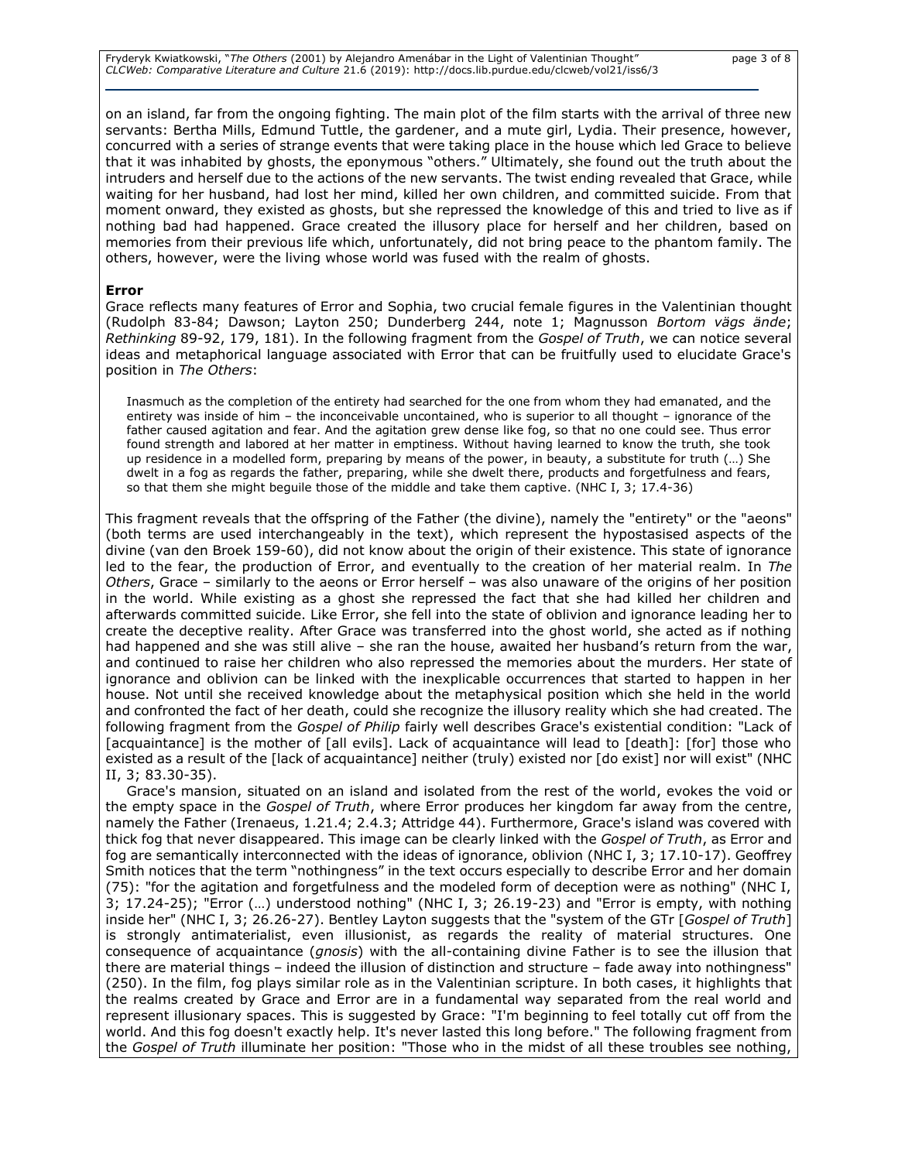Fryderyk Kwiatkowski, "*The Others* (2001) by Alejandro Amenábar in the Light of Valentinian Thought" page 3 of 8 *CLCWeb: Comparative Literature and Culture* 21.6 (2019): http://docs.lib.purdue.edu/clcweb/vol21/iss6/3

on an island, far from the ongoing fighting. The main plot of the film starts with the arrival of three new servants: Bertha Mills, Edmund Tuttle, the gardener, and a mute girl, Lydia. Their presence, however, concurred with a series of strange events that were taking place in the house which led Grace to believe that it was inhabited by ghosts, the eponymous "others." Ultimately, she found out the truth about the intruders and herself due to the actions of the new servants. The twist ending revealed that Grace, while waiting for her husband, had lost her mind, killed her own children, and committed suicide. From that moment onward, they existed as ghosts, but she repressed the knowledge of this and tried to live as if nothing bad had happened. Grace created the illusory place for herself and her children, based on memories from their previous life which, unfortunately, did not bring peace to the phantom family. The others, however, were the living whose world was fused with the realm of ghosts.

#### **Error**

Grace reflects many features of Error and Sophia, two crucial female figures in the Valentinian thought (Rudolph 83-84; Dawson; Layton 250; Dunderberg 244, note 1; Magnusson *Bortom vägs ände*; *Rethinking* 89-92, 179, 181). In the following fragment from the *Gospel of Truth*, we can notice several ideas and metaphorical language associated with Error that can be fruitfully used to elucidate Grace's position in *The Others*:

Inasmuch as the completion of the entirety had searched for the one from whom they had emanated, and the entirety was inside of him – the inconceivable uncontained, who is superior to all thought – ignorance of the father caused agitation and fear. And the agitation grew dense like fog, so that no one could see. Thus error found strength and labored at her matter in emptiness. Without having learned to know the truth, she took up residence in a modelled form, preparing by means of the power, in beauty, a substitute for truth (…) She dwelt in a fog as regards the father, preparing, while she dwelt there, products and forgetfulness and fears, so that them she might beguile those of the middle and take them captive. (NHC I, 3; 17.4-36)

This fragment reveals that the offspring of the Father (the divine), namely the "entirety" or the "aeons" (both terms are used interchangeably in the text), which represent the hypostasised aspects of the divine (van den Broek 159-60), did not know about the origin of their existence. This state of ignorance led to the fear, the production of Error, and eventually to the creation of her material realm. In *The Others*, Grace – similarly to the aeons or Error herself – was also unaware of the origins of her position in the world. While existing as a ghost she repressed the fact that she had killed her children and afterwards committed suicide. Like Error, she fell into the state of oblivion and ignorance leading her to create the deceptive reality. After Grace was transferred into the ghost world, she acted as if nothing had happened and she was still alive – she ran the house, awaited her husband's return from the war, and continued to raise her children who also repressed the memories about the murders. Her state of ignorance and oblivion can be linked with the inexplicable occurrences that started to happen in her house. Not until she received knowledge about the metaphysical position which she held in the world and confronted the fact of her death, could she recognize the illusory reality which she had created. The following fragment from the *Gospel of Philip* fairly well describes Grace's existential condition: "Lack of [acquaintance] is the mother of [all evils]. Lack of acquaintance will lead to [death]: [for] those who existed as a result of the [lack of acquaintance] neither (truly) existed nor [do exist] nor will exist" (NHC II, 3; 83.30-35).

Grace's mansion, situated on an island and isolated from the rest of the world, evokes the void or the empty space in the *Gospel of Truth*, where Error produces her kingdom far away from the centre, namely the Father (Irenaeus, 1.21.4; 2.4.3; Attridge 44). Furthermore, Grace's island was covered with thick fog that never disappeared. This image can be clearly linked with the *Gospel of Truth*, as Error and fog are semantically interconnected with the ideas of ignorance, oblivion (NHC I, 3; 17.10-17). Geoffrey Smith notices that the term "nothingness" in the text occurs especially to describe Error and her domain (75): "for the agitation and forgetfulness and the modeled form of deception were as nothing" (NHC I, 3; 17.24-25); "Error (…) understood nothing" (NHC I, 3; 26.19-23) and "Error is empty, with nothing inside her" (NHC I, 3; 26.26-27). Bentley Layton suggests that the "system of the GTr [*Gospel of Truth*] is strongly antimaterialist, even illusionist, as regards the reality of material structures. One consequence of acquaintance (*gnosis*) with the all-containing divine Father is to see the illusion that there are material things – indeed the illusion of distinction and structure – fade away into nothingness" (250). In the film, fog plays similar role as in the Valentinian scripture. In both cases, it highlights that the realms created by Grace and Error are in a fundamental way separated from the real world and represent illusionary spaces. This is suggested by Grace: "I'm beginning to feel totally cut off from the world. And this fog doesn't exactly help. It's never lasted this long before." The following fragment from the *Gospel of Truth* illuminate her position: "Those who in the midst of all these troubles see nothing,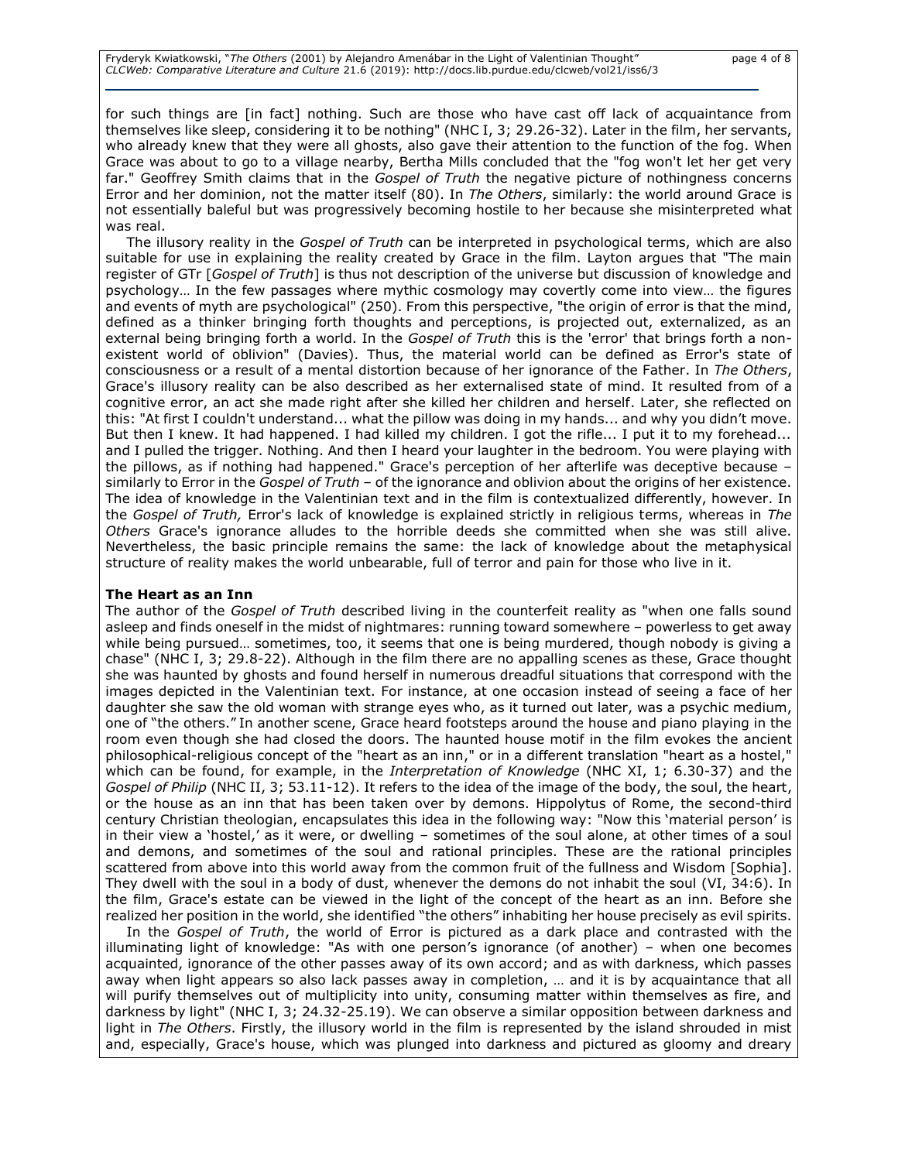for such things are [in fact] nothing. Such are those who have cast off lack of acquaintance from themselves like sleep, considering it to be nothing" (NHC I, 3; 29.26-32). Later in the film, her servants, who already knew that they were all ghosts, also gave their attention to the function of the fog. When Grace was about to go to a village nearby, Bertha Mills concluded that the "fog won't let her get very far." Geoffrey Smith claims that in the *Gospel of Truth* the negative picture of nothingness concerns Error and her dominion, not the matter itself (80). In *The Others*, similarly: the world around Grace is not essentially baleful but was progressively becoming hostile to her because she misinterpreted what was real.

The illusory reality in the *Gospel of Truth* can be interpreted in psychological terms, which are also suitable for use in explaining the reality created by Grace in the film. Layton argues that "The main register of GTr [*Gospel of Truth*] is thus not description of the universe but discussion of knowledge and psychology… In the few passages where mythic cosmology may covertly come into view… the figures and events of myth are psychological" (250). From this perspective, "the origin of error is that the mind, defined as a thinker bringing forth thoughts and perceptions, is projected out, externalized, as an external being bringing forth a world. In the *Gospel of Truth* this is the 'error' that brings forth a nonexistent world of oblivion" (Davies). Thus, the material world can be defined as Error's state of consciousness or a result of a mental distortion because of her ignorance of the Father. In *The Others*, Grace's illusory reality can be also described as her externalised state of mind. It resulted from of a cognitive error, an act she made right after she killed her children and herself. Later, she reflected on this: "At first I couldn't understand... what the pillow was doing in my hands... and why you didn't move. But then I knew. It had happened. I had killed my children. I got the rifle... I put it to my forehead... and I pulled the trigger. Nothing. And then I heard your laughter in the bedroom. You were playing with the pillows, as if nothing had happened." Grace's perception of her afterlife was deceptive because – similarly to Error in the *Gospel of Truth* – of the ignorance and oblivion about the origins of her existence. The idea of knowledge in the Valentinian text and in the film is contextualized differently, however. In the *Gospel of Truth,* Error's lack of knowledge is explained strictly in religious terms, whereas in *The Others* Grace's ignorance alludes to the horrible deeds she committed when she was still alive. Nevertheless, the basic principle remains the same: the lack of knowledge about the metaphysical structure of reality makes the world unbearable, full of terror and pain for those who live in it.

#### **The Heart as an Inn**

The author of the *Gospel of Truth* described living in the counterfeit reality as "when one falls sound asleep and finds oneself in the midst of nightmares: running toward somewhere – powerless to get away while being pursued… sometimes, too, it seems that one is being murdered, though nobody is giving a chase" (NHC I, 3; 29.8-22). Although in the film there are no appalling scenes as these, Grace thought she was haunted by ghosts and found herself in numerous dreadful situations that correspond with the images depicted in the Valentinian text. For instance, at one occasion instead of seeing a face of her daughter she saw the old woman with strange eyes who, as it turned out later, was a psychic medium, one of "the others." In another scene, Grace heard footsteps around the house and piano playing in the room even though she had closed the doors. The haunted house motif in the film evokes the ancient philosophical-religious concept of the "heart as an inn," or in a different translation "heart as a hostel," which can be found, for example, in the *Interpretation of Knowledge* (NHC XI, 1; 6.30-37) and the *Gospel of Philip* (NHC II, 3; 53.11-12). It refers to the idea of the image of the body, the soul, the heart, or the house as an inn that has been taken over by demons. Hippolytus of Rome, the second-third century Christian theologian, encapsulates this idea in the following way: "Now this 'material person' is in their view a 'hostel,' as it were, or dwelling – sometimes of the soul alone, at other times of a soul and demons, and sometimes of the soul and rational principles. These are the rational principles scattered from above into this world away from the common fruit of the fullness and Wisdom [Sophia]. They dwell with the soul in a body of dust, whenever the demons do not inhabit the soul (VI, 34:6). In the film, Grace's estate can be viewed in the light of the concept of the heart as an inn. Before she realized her position in the world, she identified "the others" inhabiting her house precisely as evil spirits.

In the *Gospel of Truth*, the world of Error is pictured as a dark place and contrasted with the illuminating light of knowledge: "As with one person's ignorance (of another) – when one becomes acquainted, ignorance of the other passes away of its own accord; and as with darkness, which passes away when light appears so also lack passes away in completion, … and it is by acquaintance that all will purify themselves out of multiplicity into unity, consuming matter within themselves as fire, and darkness by light" (NHC I, 3; 24.32-25.19). We can observe a similar opposition between darkness and light in *The Others*. Firstly, the illusory world in the film is represented by the island shrouded in mist and, especially, Grace's house, which was plunged into darkness and pictured as gloomy and dreary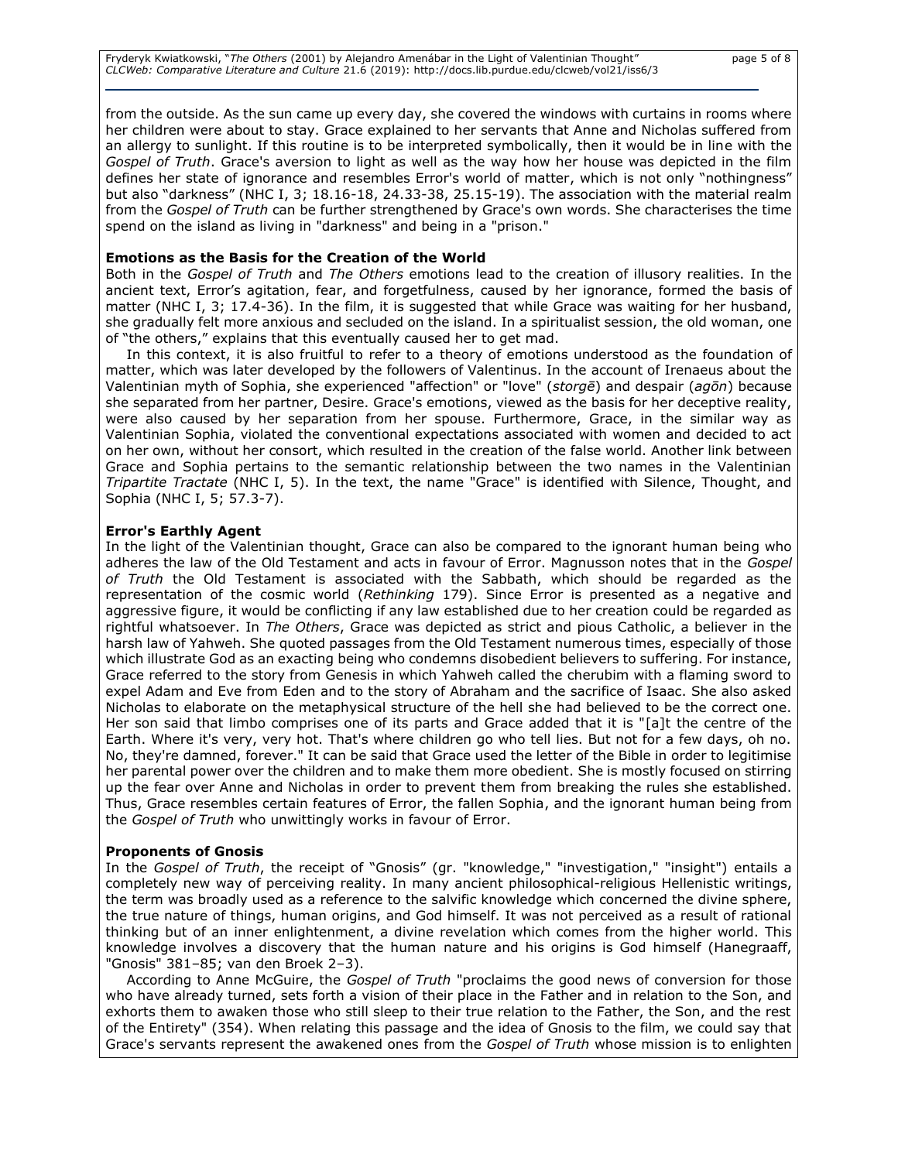Fryderyk Kwiatkowski, "*The Others* (2001) by Alejandro Amenábar in the Light of Valentinian Thought" page 5 of 8 *CLCWeb: Comparative Literature and Culture* 21.6 (2019): http://docs.lib.purdue.edu/clcweb/vol21/iss6/3

from the outside. As the sun came up every day, she covered the windows with curtains in rooms where her children were about to stay. Grace explained to her servants that Anne and Nicholas suffered from an allergy to sunlight. If this routine is to be interpreted symbolically, then it would be in line with the *Gospel of Truth*. Grace's aversion to light as well as the way how her house was depicted in the film defines her state of ignorance and resembles Error's world of matter, which is not only "nothingness" but also "darkness" (NHC I, 3; 18.16-18, 24.33-38, 25.15-19). The association with the material realm from the *Gospel of Truth* can be further strengthened by Grace's own words. She characterises the time spend on the island as living in "darkness" and being in a "prison."

#### **Emotions as the Basis for the Creation of the World**

Both in the *Gospel of Truth* and *The Others* emotions lead to the creation of illusory realities. In the ancient text, Error's agitation, fear, and forgetfulness, caused by her ignorance, formed the basis of matter (NHC I, 3; 17.4-36). In the film, it is suggested that while Grace was waiting for her husband, she gradually felt more anxious and secluded on the island. In a spiritualist session, the old woman, one of "the others," explains that this eventually caused her to get mad.

In this context, it is also fruitful to refer to a theory of emotions understood as the foundation of matter, which was later developed by the followers of Valentinus. In the account of Irenaeus about the Valentinian myth of Sophia, she experienced "affection" or "love" (*storgē*) and despair (*agōn*) because she separated from her partner, Desire. Grace's emotions, viewed as the basis for her deceptive reality, were also caused by her separation from her spouse. Furthermore, Grace, in the similar way as Valentinian Sophia, violated the conventional expectations associated with women and decided to act on her own, without her consort, which resulted in the creation of the false world. Another link between Grace and Sophia pertains to the semantic relationship between the two names in the Valentinian *Tripartite Tractate* (NHC I, 5). In the text, the name "Grace" is identified with Silence, Thought, and Sophia (NHC I, 5; 57.3-7).

#### **Error's Earthly Agent**

In the light of the Valentinian thought, Grace can also be compared to the ignorant human being who adheres the law of the Old Testament and acts in favour of Error. Magnusson notes that in the *Gospel of Truth* the Old Testament is associated with the Sabbath, which should be regarded as the representation of the cosmic world (*Rethinking* 179). Since Error is presented as a negative and aggressive figure, it would be conflicting if any law established due to her creation could be regarded as rightful whatsoever. In *The Others*, Grace was depicted as strict and pious Catholic, a believer in the harsh law of Yahweh. She quoted passages from the Old Testament numerous times, especially of those which illustrate God as an exacting being who condemns disobedient believers to suffering. For instance, Grace referred to the story from Genesis in which Yahweh called the cherubim with a flaming sword to expel Adam and Eve from Eden and to the story of Abraham and the sacrifice of Isaac. She also asked Nicholas to elaborate on the metaphysical structure of the hell she had believed to be the correct one. Her son said that limbo comprises one of its parts and Grace added that it is "[a]t the centre of the Earth. Where it's very, very hot. That's where children go who tell lies. But not for a few days, oh no. No, they're damned, forever." It can be said that Grace used the letter of the Bible in order to legitimise her parental power over the children and to make them more obedient. She is mostly focused on stirring up the fear over Anne and Nicholas in order to prevent them from breaking the rules she established. Thus, Grace resembles certain features of Error, the fallen Sophia, and the ignorant human being from the *Gospel of Truth* who unwittingly works in favour of Error.

#### **Proponents of Gnosis**

In the *Gospel of Truth*, the receipt of "Gnosis" (gr. "knowledge," "investigation," "insight") entails a completely new way of perceiving reality. In many ancient philosophical-religious Hellenistic writings, the term was broadly used as a reference to the salvific knowledge which concerned the divine sphere, the true nature of things, human origins, and God himself. It was not perceived as a result of rational thinking but of an inner enlightenment, a divine revelation which comes from the higher world. This knowledge involves a discovery that the human nature and his origins is God himself (Hanegraaff, "Gnosis" 381–85; van den Broek 2–3).

According to Anne McGuire, the *Gospel of Truth* "proclaims the good news of conversion for those who have already turned, sets forth a vision of their place in the Father and in relation to the Son, and exhorts them to awaken those who still sleep to their true relation to the Father, the Son, and the rest of the Entirety" (354). When relating this passage and the idea of Gnosis to the film, we could say that Grace's servants represent the awakened ones from the *Gospel of Truth* whose mission is to enlighten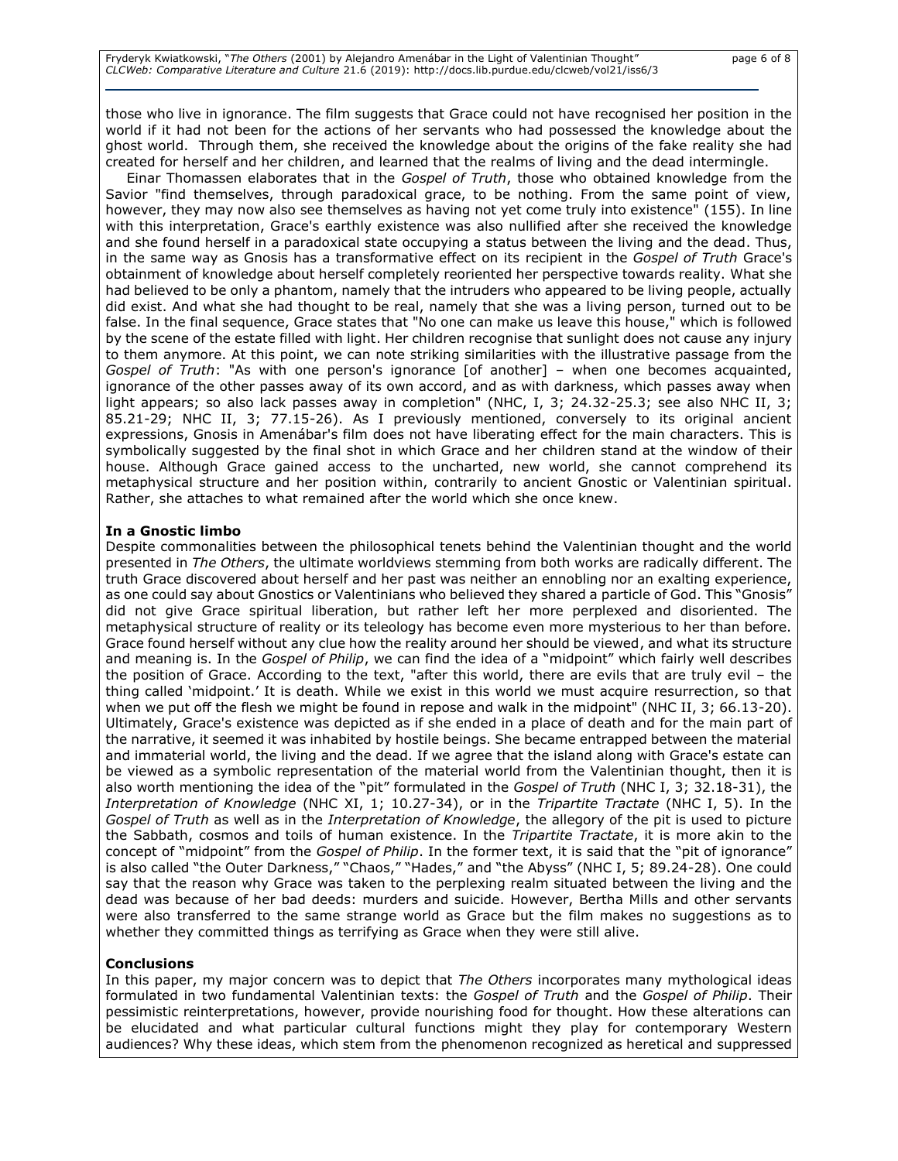those who live in ignorance. The film suggests that Grace could not have recognised her position in the world if it had not been for the actions of her servants who had possessed the knowledge about the ghost world. Through them, she received the knowledge about the origins of the fake reality she had created for herself and her children, and learned that the realms of living and the dead intermingle.

Einar Thomassen elaborates that in the *Gospel of Truth*, those who obtained knowledge from the Savior "find themselves, through paradoxical grace, to be nothing. From the same point of view, however, they may now also see themselves as having not yet come truly into existence" (155). In line with this interpretation, Grace's earthly existence was also nullified after she received the knowledge and she found herself in a paradoxical state occupying a status between the living and the dead. Thus, in the same way as Gnosis has a transformative effect on its recipient in the *Gospel of Truth* Grace's obtainment of knowledge about herself completely reoriented her perspective towards reality. What she had believed to be only a phantom, namely that the intruders who appeared to be living people, actually did exist. And what she had thought to be real, namely that she was a living person, turned out to be false. In the final sequence, Grace states that "No one can make us leave this house," which is followed by the scene of the estate filled with light. Her children recognise that sunlight does not cause any injury to them anymore. At this point, we can note striking similarities with the illustrative passage from the *Gospel of Truth*: "As with one person's ignorance [of another] – when one becomes acquainted, ignorance of the other passes away of its own accord, and as with darkness, which passes away when light appears; so also lack passes away in completion" (NHC, I, 3; 24.32-25.3; see also NHC II, 3; 85.21-29; NHC II, 3; 77.15-26). As I previously mentioned, conversely to its original ancient expressions, Gnosis in Amenábar's film does not have liberating effect for the main characters. This is symbolically suggested by the final shot in which Grace and her children stand at the window of their house. Although Grace gained access to the uncharted, new world, she cannot comprehend its metaphysical structure and her position within, contrarily to ancient Gnostic or Valentinian spiritual. Rather, she attaches to what remained after the world which she once knew.

### **In a Gnostic limbo**

Despite commonalities between the philosophical tenets behind the Valentinian thought and the world presented in *The Others*, the ultimate worldviews stemming from both works are radically different. The truth Grace discovered about herself and her past was neither an ennobling nor an exalting experience, as one could say about Gnostics or Valentinians who believed they shared a particle of God. This "Gnosis" did not give Grace spiritual liberation, but rather left her more perplexed and disoriented. The metaphysical structure of reality or its teleology has become even more mysterious to her than before. Grace found herself without any clue how the reality around her should be viewed, and what its structure and meaning is. In the *Gospel of Philip*, we can find the idea of a "midpoint" which fairly well describes the position of Grace. According to the text, "after this world, there are evils that are truly evil – the thing called 'midpoint.' It is death. While we exist in this world we must acquire resurrection, so that when we put off the flesh we might be found in repose and walk in the midpoint" (NHC II, 3; 66.13-20). Ultimately, Grace's existence was depicted as if she ended in a place of death and for the main part of the narrative, it seemed it was inhabited by hostile beings. She became entrapped between the material and immaterial world, the living and the dead. If we agree that the island along with Grace's estate can be viewed as a symbolic representation of the material world from the Valentinian thought, then it is also worth mentioning the idea of the "pit" formulated in the *Gospel of Truth* (NHC I, 3; 32.18-31), the *Interpretation of Knowledge* (NHC XI, 1; 10.27-34), or in the *Tripartite Tractate* (NHC I, 5). In the *Gospel of Truth* as well as in the *Interpretation of Knowledge*, the allegory of the pit is used to picture the Sabbath, cosmos and toils of human existence. In the *Tripartite Tractate*, it is more akin to the concept of "midpoint" from the *Gospel of Philip*. In the former text, it is said that the "pit of ignorance" is also called "the Outer Darkness," "Chaos," "Hades," and "the Abyss" (NHC I, 5; 89.24-28). One could say that the reason why Grace was taken to the perplexing realm situated between the living and the dead was because of her bad deeds: murders and suicide. However, Bertha Mills and other servants were also transferred to the same strange world as Grace but the film makes no suggestions as to whether they committed things as terrifying as Grace when they were still alive.

## **Conclusions**

In this paper, my major concern was to depict that *The Others* incorporates many mythological ideas formulated in two fundamental Valentinian texts: the *Gospel of Truth* and the *Gospel of Philip*. Their pessimistic reinterpretations, however, provide nourishing food for thought. How these alterations can be elucidated and what particular cultural functions might they play for contemporary Western audiences? Why these ideas, which stem from the phenomenon recognized as heretical and suppressed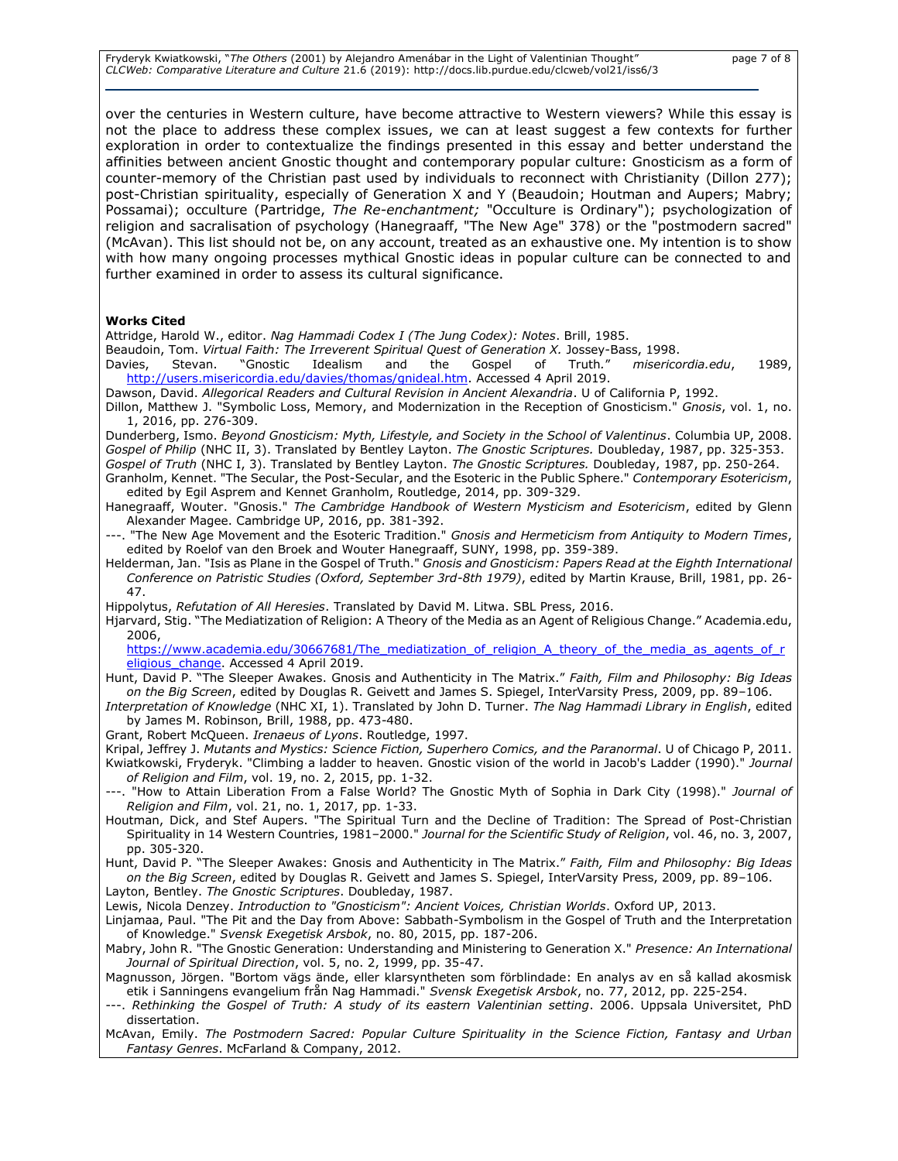Fryderyk Kwiatkowski, "*The Others* (2001) by Alejandro Amenábar in the Light of Valentinian Thought" page 7 of 8 *CLCWeb: Comparative Literature and Culture* 21.6 (2019): http://docs.lib.purdue.edu/clcweb/vol21/iss6/3

over the centuries in Western culture, have become attractive to Western viewers? While this essay is not the place to address these complex issues, we can at least suggest a few contexts for further exploration in order to contextualize the findings presented in this essay and better understand the affinities between ancient Gnostic thought and contemporary popular culture: Gnosticism as a form of counter-memory of the Christian past used by individuals to reconnect with Christianity (Dillon 277); post-Christian spirituality, especially of Generation X and Y (Beaudoin; Houtman and Aupers; Mabry; Possamai); occulture (Partridge, *The Re-enchantment;* "Occulture is Ordinary"); psychologization of religion and sacralisation of psychology (Hanegraaff, "The New Age" 378) or the "postmodern sacred" (McAvan). This list should not be, on any account, treated as an exhaustive one. My intention is to show with how many ongoing processes mythical Gnostic ideas in popular culture can be connected to and further examined in order to assess its cultural significance.

#### **Works Cited**

Attridge, Harold W., editor. *Nag Hammadi Codex I (The Jung Codex): Notes*. Brill, 1985.

Beaudoin, Tom. *Virtual Faith: The Irreverent Spiritual Quest of Generation X.* Jossey-Bass, 1998.

Davies, Stevan. "Gnostic Idealism and the Gospel of Truth*.*" *misericordia.edu*, 1989, [http://users.misericordia.edu/davies/thomas/gnideal.htm.](http://users.misericordia.edu/davies/thomas/gnideal.htm) Accessed 4 April 2019.

Dawson, David. *Allegorical Readers and Cultural Revision in Ancient Alexandria*. U of California P, 1992.

Dillon, Matthew J. "Symbolic Loss, Memory, and Modernization in the Reception of Gnosticism." *Gnosis*, vol. 1, no. 1, 2016, pp. 276-309.

Dunderberg, Ismo. *Beyond Gnosticism: Myth, Lifestyle, and Society in the School of Valentinus*. Columbia UP, 2008. *Gospel of Philip* (NHC II, 3). Translated by Bentley Layton. *The Gnostic Scriptures.* Doubleday, 1987, pp. 325-353.

*Gospel of Truth* (NHC I, 3). Translated by Bentley Layton. *The Gnostic Scriptures.* Doubleday, 1987, pp. 250-264. Granholm, Kennet. "The Secular, the Post-Secular, and the Esoteric in the Public Sphere." *Contemporary Esotericism*, edited by Egil Asprem and Kennet Granholm, Routledge, 2014, pp. 309-329.

Hanegraaff, Wouter. "Gnosis." *The Cambridge Handbook of Western Mysticism and Esotericism*, edited by Glenn Alexander Magee. Cambridge UP, 2016, pp. 381-392.

---. "The New Age Movement and the Esoteric Tradition." *Gnosis and Hermeticism from Antiquity to Modern Times*, edited by Roelof van den Broek and Wouter Hanegraaff, SUNY, 1998, pp. 359-389.

Helderman, Jan. "Isis as Plane in the Gospel of Truth." *Gnosis and Gnosticism: Papers Read at the Eighth International Conference on Patristic Studies (Oxford, September 3rd-8th 1979)*, edited by Martin Krause, Brill, 1981, pp. 26- 47.

Hippolytus, *Refutation of All Heresies*. Translated by David M. Litwa. SBL Press, 2016.

Hjarvard, Stig. "The Mediatization of Religion: A Theory of the Media as an Agent of Religious Change." Academia.edu, 2006,

[https://www.academia.edu/30667681/The\\_mediatization\\_of\\_religion\\_A\\_theory\\_of\\_the\\_media\\_as\\_agents\\_of\\_r](https://www.academia.edu/30667681/The_mediatization_of_religion_A_theory_of_the_media_as_agents_of_religious_change) [eligious\\_change.](https://www.academia.edu/30667681/The_mediatization_of_religion_A_theory_of_the_media_as_agents_of_religious_change) Accessed 4 April 2019.

Hunt, David P. "The Sleeper Awakes. Gnosis and Authenticity in The Matrix." *Faith, Film and Philosophy: Big Ideas on the Big Screen*, edited by Douglas R. Geivett and James S. Spiegel, InterVarsity Press, 2009, pp. 89–106.

*Interpretation of Knowledge* (NHC XI, 1). Translated by John D. Turner. *The Nag Hammadi Library in English*, edited by James M. Robinson, Brill, 1988, pp. 473-480.

Grant, Robert McQueen. *Irenaeus of Lyons*. Routledge, 1997.

Kripal, Jeffrey J. *Mutants and Mystics: Science Fiction, Superhero Comics, and the Paranormal*. U of Chicago P, 2011. Kwiatkowski, Fryderyk. "Climbing a ladder to heaven. Gnostic vision of the world in Jacob's Ladder (1990)." *Journal* 

*of Religion and Film*, vol. 19, no. 2, 2015, pp. 1-32. ---. "How to Attain Liberation From a False World? The Gnostic Myth of Sophia in Dark City (1998)." *Journal of Religion and Film*, vol. 21, no. 1, 2017, pp. 1-33.

Houtman, Dick, and Stef Aupers. "The Spiritual Turn and the Decline of Tradition: The Spread of Post-Christian Spirituality in 14 Western Countries, 1981–2000." *Journal for the Scientific Study of Religion*, vol. 46, no. 3, 2007, pp. 305-320.

Hunt, David P. "The Sleeper Awakes: Gnosis and Authenticity in The Matrix." *Faith, Film and Philosophy: Big Ideas on the Big Screen*, edited by Douglas R. Geivett and James S. Spiegel, InterVarsity Press, 2009, pp. 89–106.

Layton, Bentley. *The Gnostic Scriptures*. Doubleday, 1987.

Lewis, Nicola Denzey. *Introduction to "Gnosticism": Ancient Voices, Christian Worlds*. Oxford UP, 2013.

- Linjamaa, Paul. "The Pit and the Day from Above: Sabbath-Symbolism in the Gospel of Truth and the Interpretation of Knowledge." *Svensk Exegetisk Arsbok*, no. 80, 2015, pp. 187-206.
- Mabry, John R. "The Gnostic Generation: Understanding and Ministering to Generation X." *Presence: An International Journal of Spiritual Direction*, vol. 5, no. 2, 1999, pp. 35-47.

Magnusson, Jörgen. "Bortom vägs ände, eller klarsyntheten som förblindade: En analys av en så kallad akosmisk etik i Sanningens evangelium från Nag Hammadi." *Svensk Exegetisk Arsbok*, no. 77, 2012, pp. 225-254.

. Rethinking the Gospel of Truth: A study of its eastern Valentinian setting. 2006. Uppsala Universitet, PhD dissertation.

McAvan, Emily. *The Postmodern Sacred: Popular Culture Spirituality in the Science Fiction, Fantasy and Urban Fantasy Genres*. McFarland & Company, 2012.